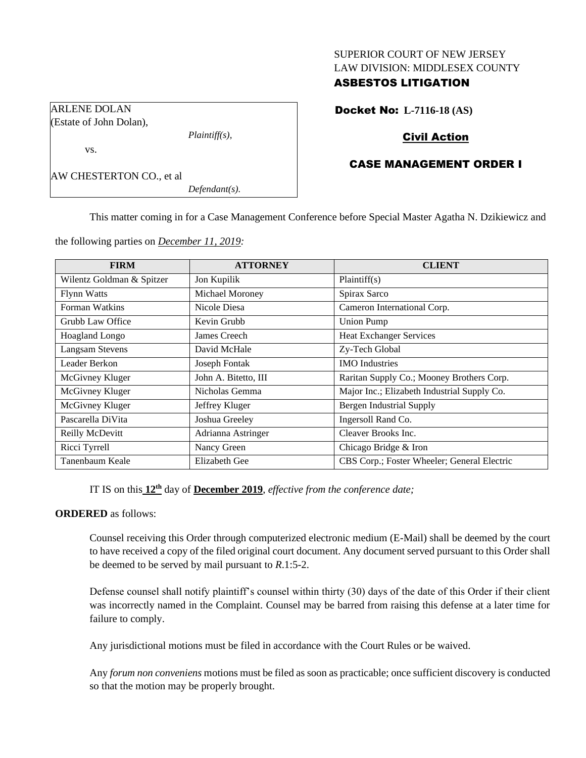#### SUPERIOR COURT OF NEW JERSEY LAW DIVISION: MIDDLESEX COUNTY

# ASBESTOS LITIGATION

Docket No: **L-7116-18 (AS)**

# Civil Action

## CASE MANAGEMENT ORDER I

AW CHESTERTON CO., et al

ARLENE DOLAN (Estate of John Dolan),

vs.

*Defendant(s).*

*Plaintiff(s),*

This matter coming in for a Case Management Conference before Special Master Agatha N. Dzikiewicz and

the following parties on *December 11, 2019:*

| <b>FIRM</b>               | <b>ATTORNEY</b>      | <b>CLIENT</b>                               |
|---------------------------|----------------------|---------------------------------------------|
| Wilentz Goldman & Spitzer | Jon Kupilik          | Plaintiff(s)                                |
| <b>Flynn Watts</b>        | Michael Moroney      | Spirax Sarco                                |
| Forman Watkins            | Nicole Diesa         | Cameron International Corp.                 |
| Grubb Law Office          | Kevin Grubb          | <b>Union Pump</b>                           |
| Hoagland Longo            | James Creech         | Heat Exchanger Services                     |
| <b>Langsam Stevens</b>    | David McHale         | Zy-Tech Global                              |
| Leader Berkon             | Joseph Fontak        | <b>IMO</b> Industries                       |
| McGivney Kluger           | John A. Bitetto, III | Raritan Supply Co.; Mooney Brothers Corp.   |
| McGivney Kluger           | Nicholas Gemma       | Major Inc.; Elizabeth Industrial Supply Co. |
| McGivney Kluger           | Jeffrey Kluger       | Bergen Industrial Supply                    |
| Pascarella DiVita         | Joshua Greeley       | Ingersoll Rand Co.                          |
| Reilly McDevitt           | Adrianna Astringer   | Cleaver Brooks Inc.                         |
| Ricci Tyrrell             | Nancy Green          | Chicago Bridge & Iron                       |
| Tanenbaum Keale           | <b>Elizabeth Gee</b> | CBS Corp.; Foster Wheeler; General Electric |

IT IS on this  $12<sup>th</sup>$  day of **December 2019**, *effective from the conference date*;

## **ORDERED** as follows:

Counsel receiving this Order through computerized electronic medium (E-Mail) shall be deemed by the court to have received a copy of the filed original court document. Any document served pursuant to this Order shall be deemed to be served by mail pursuant to *R*.1:5-2.

Defense counsel shall notify plaintiff's counsel within thirty (30) days of the date of this Order if their client was incorrectly named in the Complaint. Counsel may be barred from raising this defense at a later time for failure to comply.

Any jurisdictional motions must be filed in accordance with the Court Rules or be waived.

Any *forum non conveniens* motions must be filed as soon as practicable; once sufficient discovery is conducted so that the motion may be properly brought.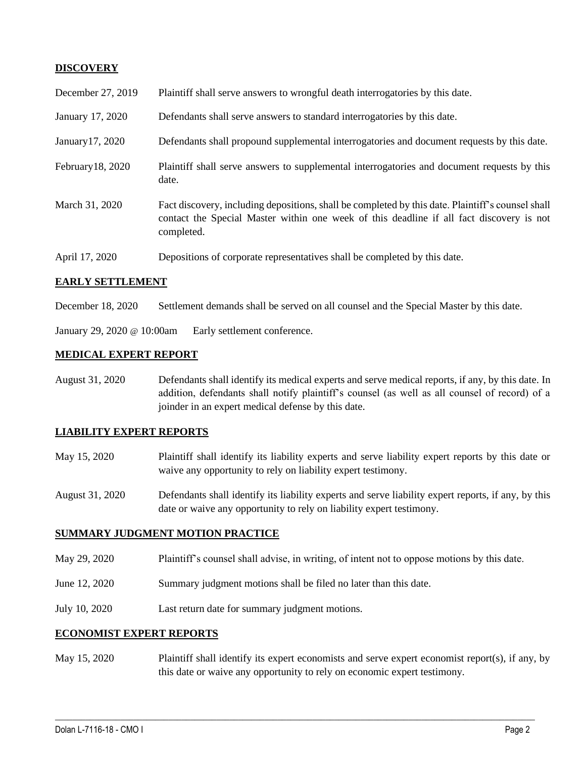## **DISCOVERY**

| December 27, 2019 | Plaintiff shall serve answers to wrongful death interrogatories by this date.                                                                                                                               |
|-------------------|-------------------------------------------------------------------------------------------------------------------------------------------------------------------------------------------------------------|
| January 17, 2020  | Defendants shall serve answers to standard interrogatories by this date.                                                                                                                                    |
| January 17, 2020  | Defendants shall propound supplemental interrogatories and document requests by this date.                                                                                                                  |
| February 18, 2020 | Plaintiff shall serve answers to supplemental interrogatories and document requests by this<br>date.                                                                                                        |
| March 31, 2020    | Fact discovery, including depositions, shall be completed by this date. Plaintiff's counsel shall<br>contact the Special Master within one week of this deadline if all fact discovery is not<br>completed. |
| April 17, 2020    | Depositions of corporate representatives shall be completed by this date.                                                                                                                                   |

### **EARLY SETTLEMENT**

December 18, 2020 Settlement demands shall be served on all counsel and the Special Master by this date.

January 29, 2020 @ 10:00am Early settlement conference.

#### **MEDICAL EXPERT REPORT**

August 31, 2020 Defendants shall identify its medical experts and serve medical reports, if any, by this date. In addition, defendants shall notify plaintiff's counsel (as well as all counsel of record) of a joinder in an expert medical defense by this date.

#### **LIABILITY EXPERT REPORTS**

- May 15, 2020 Plaintiff shall identify its liability experts and serve liability expert reports by this date or waive any opportunity to rely on liability expert testimony.
- August 31, 2020 Defendants shall identify its liability experts and serve liability expert reports, if any, by this date or waive any opportunity to rely on liability expert testimony.

### **SUMMARY JUDGMENT MOTION PRACTICE**

- May 29, 2020 Plaintiff's counsel shall advise, in writing, of intent not to oppose motions by this date.
- June 12, 2020 Summary judgment motions shall be filed no later than this date.
- July 10, 2020 Last return date for summary judgment motions.

#### **ECONOMIST EXPERT REPORTS**

May 15, 2020 Plaintiff shall identify its expert economists and serve expert economist report(s), if any, by this date or waive any opportunity to rely on economic expert testimony.

 $\_$  , and the set of the set of the set of the set of the set of the set of the set of the set of the set of the set of the set of the set of the set of the set of the set of the set of the set of the set of the set of th